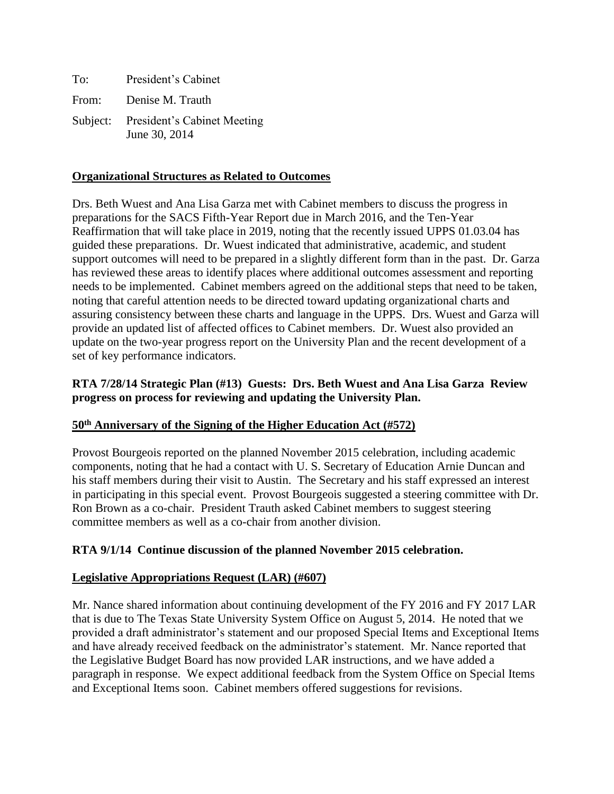To: President's Cabinet From: Denise M. Trauth Subject: President's Cabinet Meeting June 30, 2014

### **Organizational Structures as Related to Outcomes**

Drs. Beth Wuest and Ana Lisa Garza met with Cabinet members to discuss the progress in preparations for the SACS Fifth-Year Report due in March 2016, and the Ten-Year Reaffirmation that will take place in 2019, noting that the recently issued UPPS 01.03.04 has guided these preparations. Dr. Wuest indicated that administrative, academic, and student support outcomes will need to be prepared in a slightly different form than in the past. Dr. Garza has reviewed these areas to identify places where additional outcomes assessment and reporting needs to be implemented. Cabinet members agreed on the additional steps that need to be taken, noting that careful attention needs to be directed toward updating organizational charts and assuring consistency between these charts and language in the UPPS. Drs. Wuest and Garza will provide an updated list of affected offices to Cabinet members. Dr. Wuest also provided an update on the two-year progress report on the University Plan and the recent development of a set of key performance indicators.

### **RTA 7/28/14 Strategic Plan (#13) Guests: Drs. Beth Wuest and Ana Lisa Garza Review progress on process for reviewing and updating the University Plan.**

#### **50th Anniversary of the Signing of the Higher Education Act (#572)**

Provost Bourgeois reported on the planned November 2015 celebration, including academic components, noting that he had a contact with U. S. Secretary of Education Arnie Duncan and his staff members during their visit to Austin. The Secretary and his staff expressed an interest in participating in this special event. Provost Bourgeois suggested a steering committee with Dr. Ron Brown as a co-chair. President Trauth asked Cabinet members to suggest steering committee members as well as a co-chair from another division.

# **RTA 9/1/14 Continue discussion of the planned November 2015 celebration.**

#### **Legislative Appropriations Request (LAR) (#607)**

Mr. Nance shared information about continuing development of the FY 2016 and FY 2017 LAR that is due to The Texas State University System Office on August 5, 2014. He noted that we provided a draft administrator's statement and our proposed Special Items and Exceptional Items and have already received feedback on the administrator's statement. Mr. Nance reported that the Legislative Budget Board has now provided LAR instructions, and we have added a paragraph in response. We expect additional feedback from the System Office on Special Items and Exceptional Items soon. Cabinet members offered suggestions for revisions.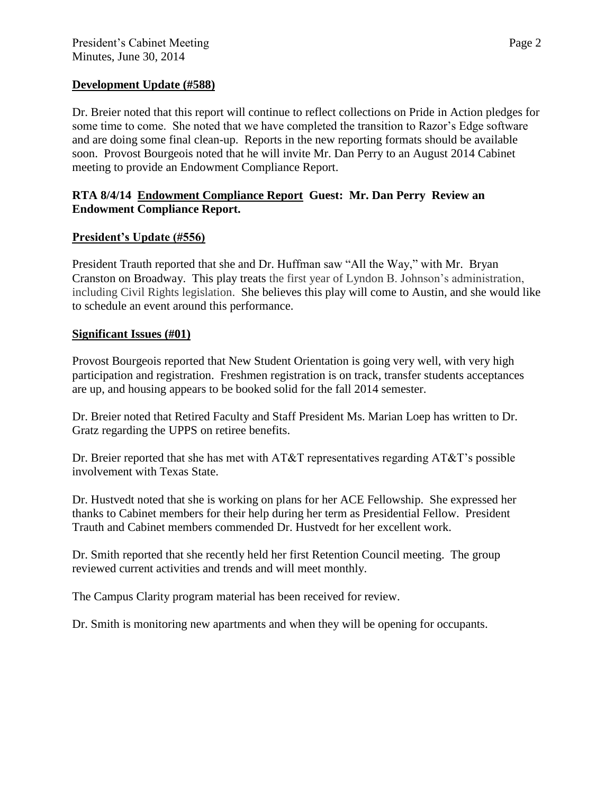### **Development Update (#588)**

Dr. Breier noted that this report will continue to reflect collections on Pride in Action pledges for some time to come. She noted that we have completed the transition to Razor's Edge software and are doing some final clean-up. Reports in the new reporting formats should be available soon. Provost Bourgeois noted that he will invite Mr. Dan Perry to an August 2014 Cabinet meeting to provide an Endowment Compliance Report.

### **RTA 8/4/14 Endowment Compliance Report Guest: Mr. Dan Perry Review an Endowment Compliance Report.**

# **President's Update (#556)**

President Trauth reported that she and Dr. Huffman saw "All the Way," with Mr. Bryan Cranston on Broadway. This play treats the first year of Lyndon B. Johnson's administration, including Civil Rights legislation. She believes this play will come to Austin, and she would like to schedule an event around this performance.

# **Significant Issues (#01)**

Provost Bourgeois reported that New Student Orientation is going very well, with very high participation and registration. Freshmen registration is on track, transfer students acceptances are up, and housing appears to be booked solid for the fall 2014 semester.

Dr. Breier noted that Retired Faculty and Staff President Ms. Marian Loep has written to Dr. Gratz regarding the UPPS on retiree benefits.

Dr. Breier reported that she has met with AT&T representatives regarding AT&T's possible involvement with Texas State.

Dr. Hustvedt noted that she is working on plans for her ACE Fellowship. She expressed her thanks to Cabinet members for their help during her term as Presidential Fellow. President Trauth and Cabinet members commended Dr. Hustvedt for her excellent work.

Dr. Smith reported that she recently held her first Retention Council meeting. The group reviewed current activities and trends and will meet monthly.

The Campus Clarity program material has been received for review.

Dr. Smith is monitoring new apartments and when they will be opening for occupants.